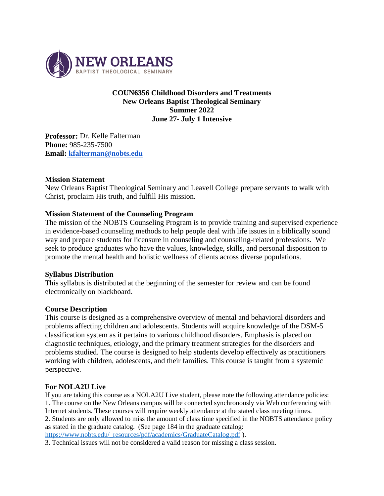

### **COUN6356 Childhood Disorders and Treatments New Orleans Baptist Theological Seminary Summer 2022 June 27- July 1 Intensive**

**Professor:** Dr. Kelle Falterman **Phone:** 985-235-7500 **Email: [kfalterman@nobts.edu](mailto:kfalterman@nobts.edu)**

### **Mission Statement**

New Orleans Baptist Theological Seminary and Leavell College prepare servants to walk with Christ, proclaim His truth, and fulfill His mission.

### **Mission Statement of the Counseling Program**

The mission of the NOBTS Counseling Program is to provide training and supervised experience in evidence-based counseling methods to help people deal with life issues in a biblically sound way and prepare students for licensure in counseling and counseling-related professions. We seek to produce graduates who have the values, knowledge, skills, and personal disposition to promote the mental health and holistic wellness of clients across diverse populations*.*

### **Syllabus Distribution**

This syllabus is distributed at the beginning of the semester for review and can be found electronically on blackboard.

### **Course Description**

This course is designed as a comprehensive overview of mental and behavioral disorders and problems affecting children and adolescents. Students will acquire knowledge of the DSM-5 classification system as it pertains to various childhood disorders. Emphasis is placed on diagnostic techniques, etiology, and the primary treatment strategies for the disorders and problems studied. The course is designed to help students develop effectively as practitioners working with children, adolescents, and their families. This course is taught from a systemic perspective.

### **For NOLA2U Live**

If you are taking this course as a NOLA2U Live student, please note the following attendance policies: 1. The course on the New Orleans campus will be connected synchronously via Web conferencing with Internet students. These courses will require weekly attendance at the stated class meeting times. 2. Students are only allowed to miss the amount of class time specified in the NOBTS attendance policy as stated in the graduate catalog. (See page 184 in the graduate catalog: [https://www.nobts.edu/\\_resources/pdf/academics/GraduateCatalog.pdf](https://www.nobts.edu/_resources/pdf/academics/GraduateCatalog.pdf) ).

3. Technical issues will not be considered a valid reason for missing a class session.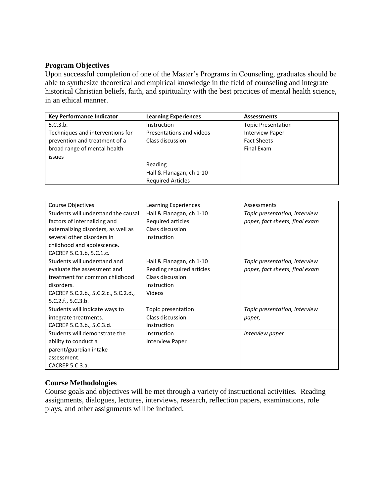### **Program Objectives**

Upon successful completion of one of the Master's Programs in Counseling, graduates should be able to synthesize theoretical and empirical knowledge in the field of counseling and integrate historical Christian beliefs, faith, and spirituality with the best practices of mental health science, in an ethical manner.

| Key Performance Indicator        | <b>Learning Experiences</b> | <b>Assessments</b>        |
|----------------------------------|-----------------------------|---------------------------|
| 5.C.3.b.                         | Instruction                 | <b>Topic Presentation</b> |
| Techniques and interventions for | Presentations and videos    | <b>Interview Paper</b>    |
| prevention and treatment of a    | Class discussion            | <b>Fact Sheets</b>        |
| broad range of mental health     |                             | Final Exam                |
| issues                           |                             |                           |
|                                  | Reading                     |                           |
|                                  | Hall & Flanagan, ch 1-10    |                           |
|                                  | <b>Required Articles</b>    |                           |

| <b>Course Objectives</b>             | Learning Experiences      | Assessments                    |
|--------------------------------------|---------------------------|--------------------------------|
| Students will understand the causal  | Hall & Flanagan, ch 1-10  | Topic presentation, interview  |
| factors of internalizing and         | Required articles         | paper, fact sheets, final exam |
| externalizing disorders, as well as  | Class discussion          |                                |
| several other disorders in           | Instruction               |                                |
| childhood and adolescence.           |                           |                                |
| CACREP 5.C.1.b, 5.C.1.c.             |                           |                                |
| Students will understand and         | Hall & Flanagan, ch 1-10  | Topic presentation, interview  |
| evaluate the assessment and          | Reading required articles | paper, fact sheets, final exam |
| treatment for common childhood       | Class discussion          |                                |
| disorders.                           | Instruction               |                                |
| CACREP 5.C.2.b., 5.C.2.c., 5.C.2.d., | Videos                    |                                |
| 5.C.2.f., 5.C.3.b.                   |                           |                                |
| Students will indicate ways to       | Topic presentation        | Topic presentation, interview  |
| integrate treatments.                | Class discussion          | paper,                         |
| CACREP 5.C.3.b., 5.C.3.d.            | Instruction               |                                |
| Students will demonstrate the        | Instruction               | Interview paper                |
| ability to conduct a                 | <b>Interview Paper</b>    |                                |
| parent/guardian intake               |                           |                                |
| assessment.                          |                           |                                |
| CACREP 5.C.3.a.                      |                           |                                |

# **Course Methodologies**

Course goals and objectives will be met through a variety of instructional activities. Reading assignments, dialogues, lectures, interviews, research, reflection papers, examinations, role plays, and other assignments will be included.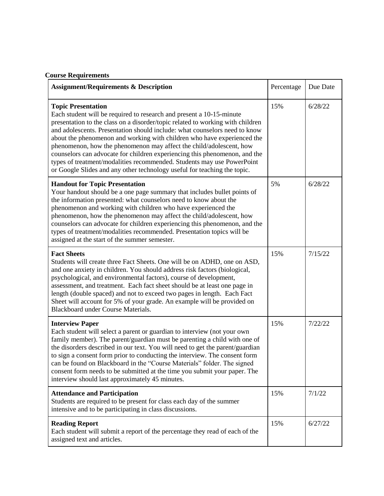| <b>Assignment/Requirements &amp; Description</b>                                                                                                                                                                                                                                                                                                                                                                                                                                                                                                                                                                                                        | Percentage | Due Date |
|---------------------------------------------------------------------------------------------------------------------------------------------------------------------------------------------------------------------------------------------------------------------------------------------------------------------------------------------------------------------------------------------------------------------------------------------------------------------------------------------------------------------------------------------------------------------------------------------------------------------------------------------------------|------------|----------|
| <b>Topic Presentation</b><br>Each student will be required to research and present a 10-15-minute<br>presentation to the class on a disorder/topic related to working with children<br>and adolescents. Presentation should include: what counselors need to know<br>about the phenomenon and working with children who have experienced the<br>phenomenon, how the phenomenon may affect the child/adolescent, how<br>counselors can advocate for children experiencing this phenomenon, and the<br>types of treatment/modalities recommended. Students may use PowerPoint<br>or Google Slides and any other technology useful for teaching the topic. | 15%        | 6/28/22  |
| <b>Handout for Topic Presentation</b><br>Your handout should be a one page summary that includes bullet points of<br>the information presented: what counselors need to know about the<br>phenomenon and working with children who have experienced the<br>phenomenon, how the phenomenon may affect the child/adolescent, how<br>counselors can advocate for children experiencing this phenomenon, and the<br>types of treatment/modalities recommended. Presentation topics will be<br>assigned at the start of the summer semester.                                                                                                                 | 5%         | 6/28/22  |
| <b>Fact Sheets</b><br>Students will create three Fact Sheets. One will be on ADHD, one on ASD,<br>and one anxiety in children. You should address risk factors (biological,<br>psychological, and environmental factors), course of development,<br>assessment, and treatment. Each fact sheet should be at least one page in<br>length (double spaced) and not to exceed two pages in length. Each Fact<br>Sheet will account for 5% of your grade. An example will be provided on<br>Blackboard under Course Materials.                                                                                                                               | 15%        | 7/15/22  |
| <b>Interview Paper</b><br>Each student will select a parent or guardian to interview (not your own<br>family member). The parent/guardian must be parenting a child with one of<br>the disorders described in our text. You will need to get the parent/guardian<br>to sign a consent form prior to conducting the interview. The consent form<br>can be found on Blackboard in the "Course Materials" folder. The signed<br>consent form needs to be submitted at the time you submit your paper. The<br>interview should last approximately 45 minutes.                                                                                               | 15%        | 7/22/22  |
| <b>Attendance and Participation</b><br>Students are required to be present for class each day of the summer<br>intensive and to be participating in class discussions.                                                                                                                                                                                                                                                                                                                                                                                                                                                                                  | 15%        | 7/1/22   |
| <b>Reading Report</b><br>Each student will submit a report of the percentage they read of each of the<br>assigned text and articles.                                                                                                                                                                                                                                                                                                                                                                                                                                                                                                                    | 15%        | 6/27/22  |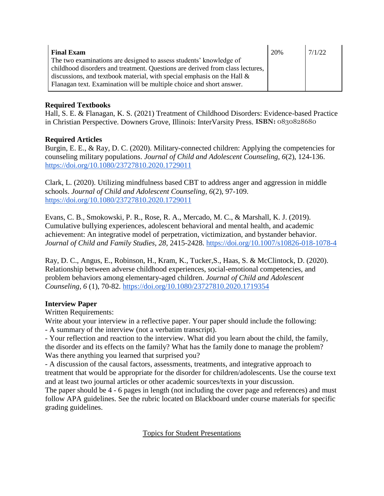| <b>Final Exam</b>                                                             | 20% | 7/1/22 |
|-------------------------------------------------------------------------------|-----|--------|
| The two examinations are designed to assess students' knowledge of            |     |        |
| childhood disorders and treatment. Questions are derived from class lectures, |     |        |
| discussions, and textbook material, with special emphasis on the Hall $\&$    |     |        |
| Flanagan text. Examination will be multiple choice and short answer.          |     |        |

## **Required Textbooks**

Hall, S. E. & Flanagan, K. S. (2021) Treatment of Childhood Disorders: Evidence-based Practice in Christian Perspective. Downers Grove, Illinois: InterVarsity Press. **ISBN:** 0830828680

# **Required Articles**

Burgin, E. E., & Ray, D. C. (2020). Military-connected children: Applying the competencies for counseling military populations. *Journal of Child and Adolescent Counseling, 6*(2), 124-136. <https://doi.org/10.1080/23727810.2020.1729011>

Clark, L. (2020). Utilizing mindfulness based CBT to address anger and aggression in middle schools. *Journal of Child and Adolescent Counseling, 6*(2), 97-109. <https://doi.org/10.1080/23727810.2020.1729011>

Evans, C. B., Smokowski, P. R., Rose, R. A., Mercado, M. C., & Marshall, K. J. (2019). Cumulative bullying experiences, adolescent behavioral and mental health, and academic achievement: An integrative model of perpetration, victimization, and bystander behavior. *Journal of Child and Family Studies, 28,* 2415-2428.<https://doi.org/10.1007/s10826-018-1078-4>

Ray, D. C., Angus, E., Robinson, H., Kram, K., Tucker,S., Haas, S. & McClintock, D. (2020). Relationship between adverse childhood experiences, social-emotional competencies, and problem behaviors among elementary-aged children. *Journal of Child and Adolescent Counseling, 6* (1), 70-82.<https://doi.org/10.1080/23727810.2020.1719354>

# **Interview Paper**

Written Requirements:

Write about your interview in a reflective paper. Your paper should include the following: - A summary of the interview (not a verbatim transcript).

- Your reflection and reaction to the interview. What did you learn about the child, the family, the disorder and its effects on the family? What has the family done to manage the problem? Was there anything you learned that surprised you?

- A discussion of the causal factors, assessments, treatments, and integrative approach to treatment that would be appropriate for the disorder for children/adolescents. Use the course text and at least two journal articles or other academic sources/texts in your discussion.

The paper should be 4 - 6 pages in length (not including the cover page and references) and must follow APA guidelines. See the rubric located on Blackboard under course materials for specific grading guidelines.

Topics for Student Presentations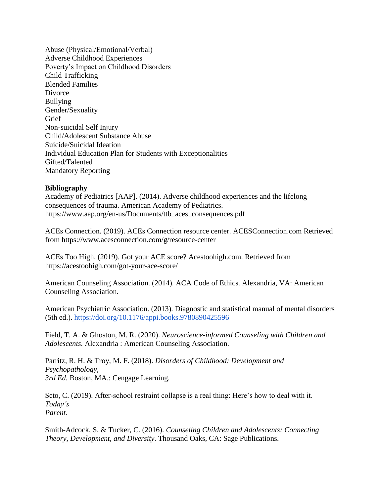Abuse (Physical/Emotional/Verbal) Adverse Childhood Experiences Poverty's Impact on Childhood Disorders Child Trafficking Blended Families **Divorce** Bullying Gender/Sexuality **Grief** Non-suicidal Self Injury Child/Adolescent Substance Abuse Suicide/Suicidal Ideation Individual Education Plan for Students with Exceptionalities Gifted/Talented Mandatory Reporting

#### **Bibliography**

Academy of Pediatrics [AAP]. (2014). Adverse childhood experiences and the lifelong consequences of trauma. American Academy of Pediatrics. https://www.aap.org/en-us/Documents/ttb\_aces\_consequences.pdf

ACEs Connection. (2019). ACEs Connection resource center. ACESConnection.com Retrieved from https://www.acesconnection.com/g/resource-center

ACEs Too High. (2019). Got your ACE score? Acestoohigh.com. Retrieved from https://acestoohigh.com/got-your-ace-score/

American Counseling Association. (2014). ACA Code of Ethics. Alexandria, VA: American Counseling Association.

American Psychiatric Association. (2013). Diagnostic and statistical manual of mental disorders (5th ed.).<https://doi.org/10.1176/appi.books.9780890425596>

Field, T. A. & Ghoston, M. R. (2020). *Neuroscience-informed Counseling with Children and Adolescents.* Alexandria : American Counseling Association.

Parritz, R. H. & Troy, M. F. (2018). *Disorders of Childhood: Development and Psychopathology, 3rd Ed.* Boston, MA.: Cengage Learning.

Seto, C. (2019). After-school restraint collapse is a real thing: Here's how to deal with it. *Today's Parent.* 

Smith-Adcock, S. & Tucker, C. (2016). *Counseling Children and Adolescents: Connecting Theory, Development, and Diversity*. Thousand Oaks, CA: Sage Publications.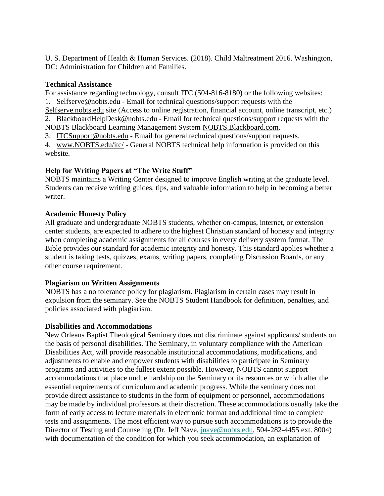U. S. Department of Health & Human Services. (2018). Child Maltreatment 2016. Washington, DC: Administration for Children and Families.

## **Technical Assistance**

For assistance regarding technology, consult ITC (504-816-8180) or the following websites: 1. Selfserve@nobts.edu - Email for technical questions/support requests with the

Selfserve.nobts.edu site (Access to online registration, financial account, online transcript, etc.) 2. BlackboardHelpDesk@nobts.edu - Email for technical questions/support requests with the

NOBTS Blackboard Learning Management System NOBTS.Blackboard.com.

3. ITCSupport@nobts.edu - Email for general technical questions/support requests.

4. www.NOBTS.edu/itc/ - General NOBTS technical help information is provided on this website.

# **Help for Writing Papers at "The Write Stuff"**

NOBTS maintains a Writing Center designed to improve English writing at the graduate level. Students can receive writing guides, tips, and valuable information to help in becoming a better writer.

### **Academic Honesty Policy**

All graduate and undergraduate NOBTS students, whether on-campus, internet, or extension center students, are expected to adhere to the highest Christian standard of honesty and integrity when completing academic assignments for all courses in every delivery system format. The Bible provides our standard for academic integrity and honesty. This standard applies whether a student is taking tests, quizzes, exams, writing papers, completing Discussion Boards, or any other course requirement.

### **Plagiarism on Written Assignments**

NOBTS has a no tolerance policy for plagiarism. Plagiarism in certain cases may result in expulsion from the seminary. See the NOBTS Student Handbook for definition, penalties, and policies associated with plagiarism.

### **Disabilities and Accommodations**

New Orleans Baptist Theological Seminary does not discriminate against applicants/ students on the basis of personal disabilities. The Seminary, in voluntary compliance with the American Disabilities Act, will provide reasonable institutional accommodations, modifications, and adjustments to enable and empower students with disabilities to participate in Seminary programs and activities to the fullest extent possible. However, NOBTS cannot support accommodations that place undue hardship on the Seminary or its resources or which alter the essential requirements of curriculum and academic progress. While the seminary does not provide direct assistance to students in the form of equipment or personnel, accommodations may be made by individual professors at their discretion. These accommodations usually take the form of early access to lecture materials in electronic format and additional time to complete tests and assignments. The most efficient way to pursue such accommodations is to provide the Director of Testing and Counseling (Dr. Jeff Nave, [jnave@nobts.edu,](mailto:jnave@nobts.edu) 504-282-4455 ext. 8004) with documentation of the condition for which you seek accommodation, an explanation of